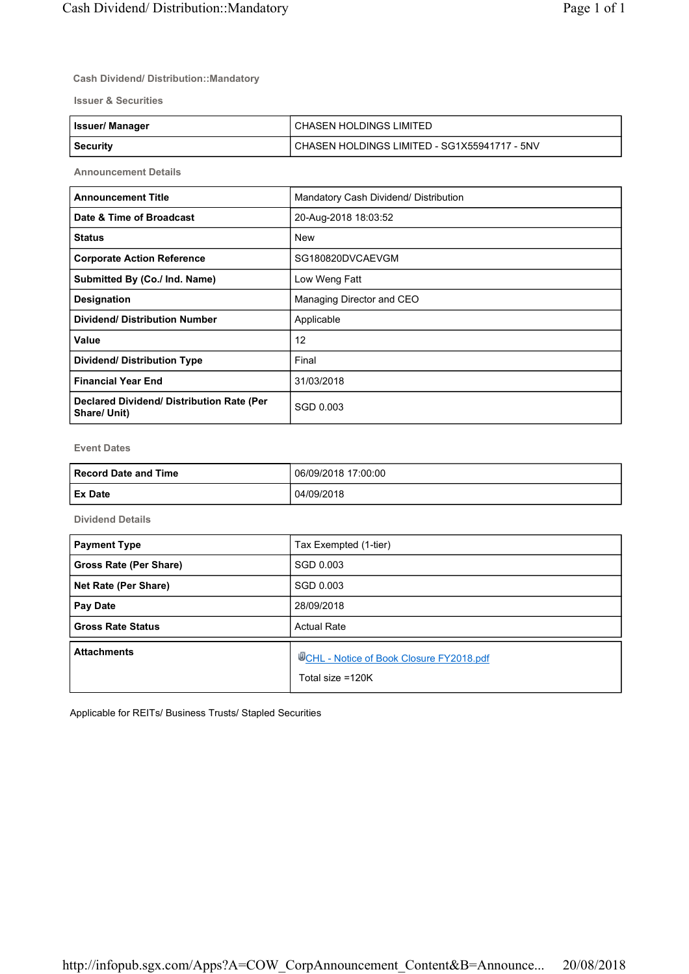## **Cash Dividend/ Distribution::Mandatory**

**Issuer & Securities**

| <b>Issuer/Manager</b> | I CHASEN HOLDINGS LIMITED                      |
|-----------------------|------------------------------------------------|
| Security              | l CHASEN HOLDINGS LIMITED - SG1X55941717 - 5NV |

**Announcement Details**

| <b>Announcement Title</b>                                 | Mandatory Cash Dividend/ Distribution |
|-----------------------------------------------------------|---------------------------------------|
| Date & Time of Broadcast                                  | 20-Aug-2018 18:03:52                  |
| <b>Status</b>                                             | <b>New</b>                            |
| <b>Corporate Action Reference</b>                         | SG180820DVCAEVGM                      |
| Submitted By (Co./ Ind. Name)                             | Low Weng Fatt                         |
| <b>Designation</b>                                        | Managing Director and CEO             |
| <b>Dividend/ Distribution Number</b>                      | Applicable                            |
| Value                                                     | 12                                    |
| <b>Dividend/ Distribution Type</b>                        | Final                                 |
| <b>Financial Year End</b>                                 | 31/03/2018                            |
| Declared Dividend/ Distribution Rate (Per<br>Share/ Unit) | SGD 0.003                             |

**Event Dates**

| Record Date and Time | 06/09/2018 17:00:00 |
|----------------------|---------------------|
| <b>Ex Date</b>       | 04/09/2018          |

**Dividend Details**

| <b>Payment Type</b>      | Tax Exempted (1-tier)                                                 |
|--------------------------|-----------------------------------------------------------------------|
| Gross Rate (Per Share)   | SGD 0.003                                                             |
| Net Rate (Per Share)     | SGD 0.003                                                             |
| Pay Date                 | 28/09/2018                                                            |
| <b>Gross Rate Status</b> | <b>Actual Rate</b>                                                    |
| <b>Attachments</b>       | <b>WCHL - Notice of Book Closure FY2018.pdf</b><br>Total size $=120K$ |

Applicable for REITs/ Business Trusts/ Stapled Securities